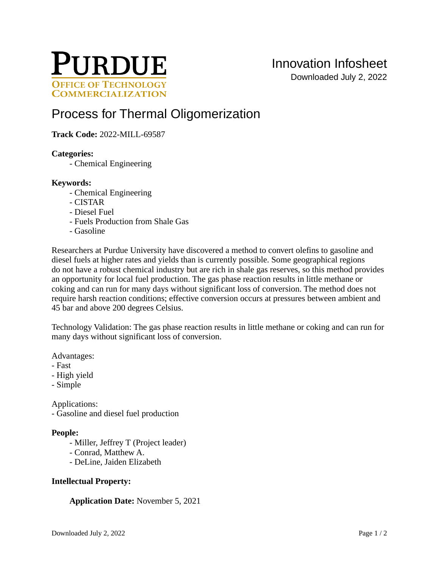

# [Process for Thermal Oligomerization](https://inventions.prf.org/innovation/8199)

## **Track Code:** 2022-MILL-69587

#### **Categories:**

- Chemical Engineering

#### **Keywords:**

- Chemical Engineering
- CISTAR
- Diesel Fuel
- Fuels Production from Shale Gas
- Gasoline

Researchers at Purdue University have discovered a method to convert olefins to gasoline and diesel fuels at higher rates and yields than is currently possible. Some geographical regions do not have a robust chemical industry but are rich in shale gas reserves, so this method provides an opportunity for local fuel production. The gas phase reaction results in little methane or coking and can run for many days without significant loss of conversion. The method does not require harsh reaction conditions; effective conversion occurs at pressures between ambient and 45 bar and above 200 degrees Celsius.

Technology Validation: The gas phase reaction results in little methane or coking and can run for many days without significant loss of conversion.

Advantages:

- Fast
- High yield
- Simple

Applications:

- Gasoline and diesel fuel production

#### **People:**

- Miller, Jeffrey T (Project leader)
- Conrad, Matthew A.
- DeLine, Jaiden Elizabeth

#### **Intellectual Property:**

**Application Date:** November 5, 2021